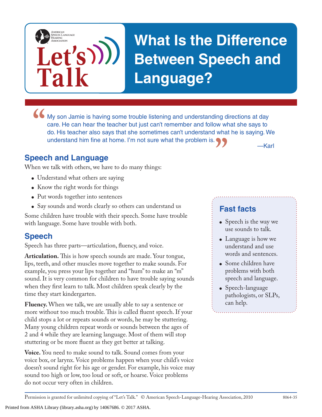

# **What Is the Difference Between Speech and Language?**

• My son Jamie is having some trouble listening and understanding directions at day care. He can hear the teacher but just can't remember and follow what she says to do. His teacher also says that she sometimes can't under **"** — Karl care. He can hear the teacher but just can't remember and follow what she says to do. His teacher also says that she sometimes can't understand what he is saying. We understand him fine at home. I'm not sure what the problem is.

#### **Speech and Language**

When we talk with others, we have to do many things:

- Understand what others are saying
- Know the right words for things
- Put words together into sentences
- Say sounds and words clearly so others can understand us

Some children have trouble with their speech. Some have trouble with language. Some have trouble with both.

#### **Speech**

Speech has three parts—articulation, fluency, and voice.

**Articulation.** This is how speech sounds are made. Your tongue, lips, teeth, and other muscles move together to make sounds. For example, you press your lips together and "hum" to make an "m" sound. It is very common for children to have trouble saying sounds when they first learn to talk. Most children speak clearly by the time they start kindergarten.

**Fluency.** When we talk, we are usually able to say a sentence or more without too much trouble. This is called fluent speech. If your child stops a lot or repeats sounds or words, he may be stuttering. Many young children repeat words or sounds between the ages of 2 and 4 while they are learning language. Most of them will stop stuttering or be more fluent as they get better at talking.

**Voice.** You need to make sound to talk. Sound comes from your voice box, or larynx. Voice problems happen when your child's voice doesn't sound right for his age or gender. For example, his voice may sound too high or low, too loud or soft, or hoarse. Voice problems do not occur very often in children.

### **Fast facts**

- Speech is the way we use sounds to talk.
- Language is how we understand and use words and sentences.
- Some children have problems with both speech and language.
- Speech-language pathologists, or SLPs, can help.